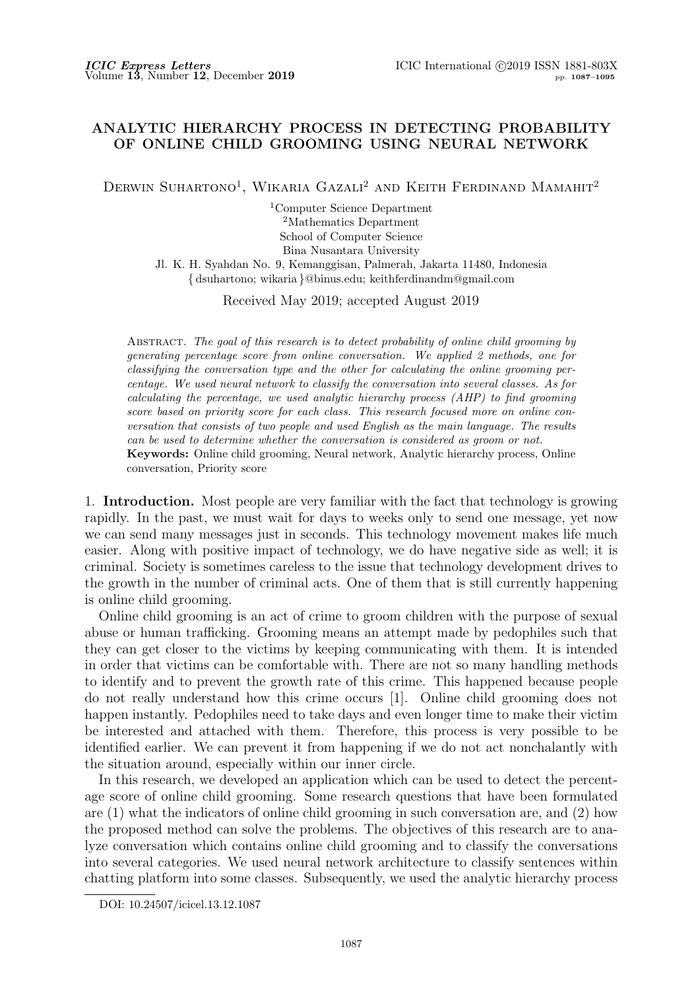## **ANALYTIC HIERARCHY PROCESS IN DETECTING PROBABILITY OF ONLINE CHILD GROOMING USING NEURAL NETWORK**

DERWIN SUHARTONO<sup>1</sup>, WIKARIA GAZALI<sup>2</sup> AND KEITH FERDINAND MAMAHIT<sup>2</sup>

<sup>1</sup>Computer Science Department <sup>2</sup>Mathematics Department School of Computer Science Bina Nusantara University

Jl. K. H. Syahdan No. 9, Kemanggisan, Palmerah, Jakarta 11480, Indonesia *{* dsuhartono; wikaria *}*@binus.edu; keithferdinandm@gmail.com

Received May 2019; accepted August 2019

Abstract. *The goal of this research is to detect probability of online child grooming by generating percentage score from online conversation. We applied 2 methods, one for classifying the conversation type and the other for calculating the online grooming percentage. We used neural network to classify the conversation into several classes. As for calculating the percentage, we used analytic hierarchy process (AHP) to find grooming score based on priority score for each class. This research focused more on online conversation that consists of two people and used English as the main language. The results can be used to determine whether the conversation is considered as groom or not.* **Keywords:** Online child grooming, Neural network, Analytic hierarchy process, Online conversation, Priority score

1. **Introduction.** Most people are very familiar with the fact that technology is growing rapidly. In the past, we must wait for days to weeks only to send one message, yet now we can send many messages just in seconds. This technology movement makes life much easier. Along with positive impact of technology, we do have negative side as well; it is criminal. Society is sometimes careless to the issue that technology development drives to the growth in the number of criminal acts. One of them that is still currently happening is online child grooming.

Online child grooming is an act of crime to groom children with the purpose of sexual abuse or human trafficking. Grooming means an attempt made by pedophiles such that they can get closer to the victims by keeping communicating with them. It is intended in order that victims can be comfortable with. There are not so many handling methods to identify and to prevent the growth rate of this crime. This happened because people do not really understand how this crime occurs [1]. Online child grooming does not happen instantly. Pedophiles need to take days and even longer time to make their victim be interested and attached with them. Therefore, this process is very possible to be identified earlier. We can prevent it from happening if we do not act nonchalantly with the situation around, especially within our inner circle.

In this research, we developed an application which can be used to detect the percentage score of online child grooming. Some research questions that have been formulated are (1) what the indicators of online child grooming in such conversation are, and (2) how the proposed method can solve the problems. The objectives of this research are to analyze conversation which contains online child grooming and to classify the conversations into several categories. We used neural network architecture to classify sentences within chatting platform into some classes. Subsequently, we used the analytic hierarchy process

DOI: 10.24507/icicel.13.12.1087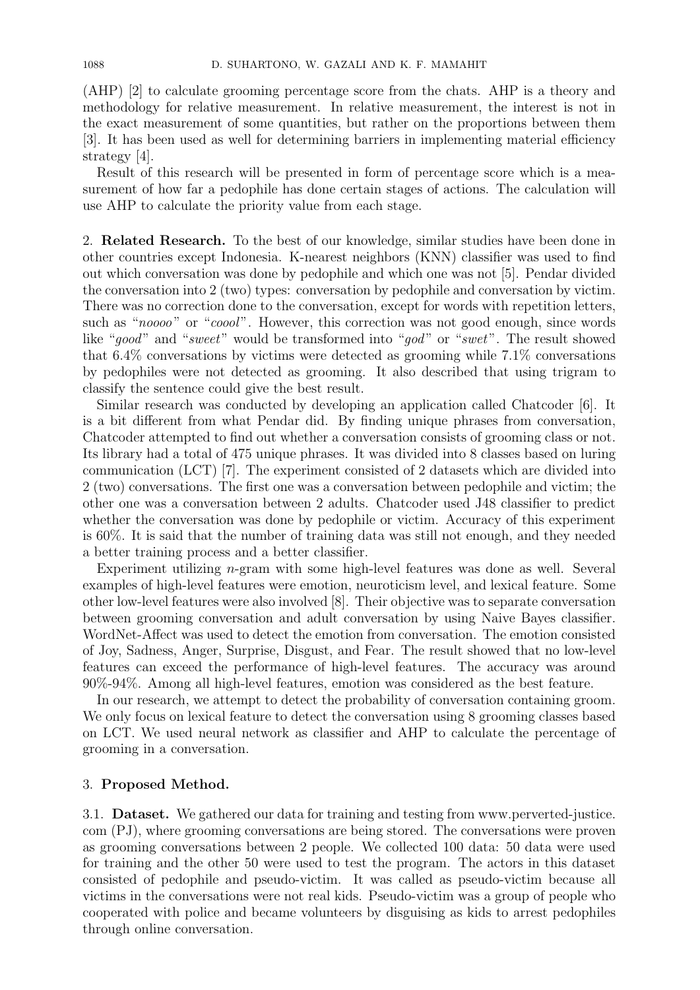(AHP) [2] to calculate grooming percentage score from the chats. AHP is a theory and methodology for relative measurement. In relative measurement, the interest is not in the exact measurement of some quantities, but rather on the proportions between them [3]. It has been used as well for determining barriers in implementing material efficiency strategy [4].

Result of this research will be presented in form of percentage score which is a measurement of how far a pedophile has done certain stages of actions. The calculation will use AHP to calculate the priority value from each stage.

2. **Related Research.** To the best of our knowledge, similar studies have been done in other countries except Indonesia. K-nearest neighbors (KNN) classifier was used to find out which conversation was done by pedophile and which one was not [5]. Pendar divided the conversation into 2 (two) types: conversation by pedophile and conversation by victim. There was no correction done to the conversation, except for words with repetition letters, such as "*noooo*" or "*coool*". However, this correction was not good enough, since words like "*good*" and "*sweet*" would be transformed into "*god*" or "*swet*". The result showed that 6.4% conversations by victims were detected as grooming while 7.1% conversations by pedophiles were not detected as grooming. It also described that using trigram to classify the sentence could give the best result.

Similar research was conducted by developing an application called Chatcoder [6]. It is a bit different from what Pendar did. By finding unique phrases from conversation, Chatcoder attempted to find out whether a conversation consists of grooming class or not. Its library had a total of 475 unique phrases. It was divided into 8 classes based on luring communication (LCT) [7]. The experiment consisted of 2 datasets which are divided into 2 (two) conversations. The first one was a conversation between pedophile and victim; the other one was a conversation between 2 adults. Chatcoder used J48 classifier to predict whether the conversation was done by pedophile or victim. Accuracy of this experiment is 60%. It is said that the number of training data was still not enough, and they needed a better training process and a better classifier.

Experiment utilizing *n*-gram with some high-level features was done as well. Several examples of high-level features were emotion, neuroticism level, and lexical feature. Some other low-level features were also involved [8]. Their objective was to separate conversation between grooming conversation and adult conversation by using Naive Bayes classifier. WordNet-Affect was used to detect the emotion from conversation. The emotion consisted of Joy, Sadness, Anger, Surprise, Disgust, and Fear. The result showed that no low-level features can exceed the performance of high-level features. The accuracy was around 90%-94%. Among all high-level features, emotion was considered as the best feature.

In our research, we attempt to detect the probability of conversation containing groom. We only focus on lexical feature to detect the conversation using 8 grooming classes based on LCT. We used neural network as classifier and AHP to calculate the percentage of grooming in a conversation.

## 3. **Proposed Method.**

3.1. **Dataset.** We gathered our data for training and testing from www.perverted-justice. com (PJ), where grooming conversations are being stored. The conversations were proven as grooming conversations between 2 people. We collected 100 data: 50 data were used for training and the other 50 were used to test the program. The actors in this dataset consisted of pedophile and pseudo-victim. It was called as pseudo-victim because all victims in the conversations were not real kids. Pseudo-victim was a group of people who cooperated with police and became volunteers by disguising as kids to arrest pedophiles through online conversation.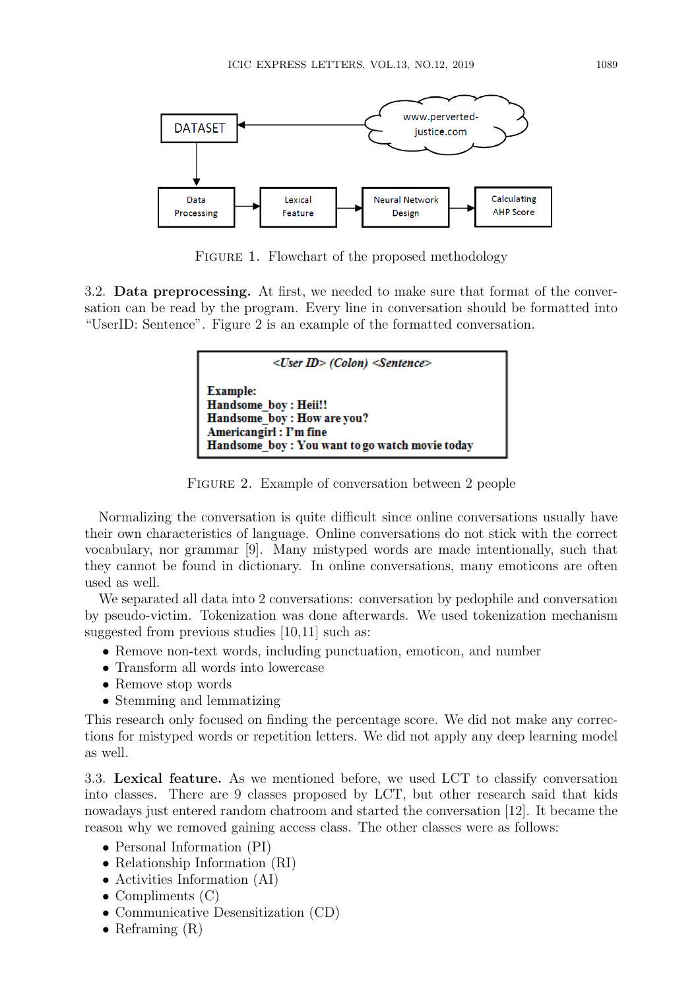

FIGURE 1. Flowchart of the proposed methodology

3.2. **Data preprocessing.** At first, we needed to make sure that format of the conversation can be read by the program. Every line in conversation should be formatted into "UserID: Sentence". Figure 2 is an example of the formatted conversation.

| $\langle$ User ID> (Colon) $\langle$ Sentence>                                                                                                     |
|----------------------------------------------------------------------------------------------------------------------------------------------------|
| <b>Example:</b><br>Handsome boy: Heii!!<br>Handsome boy: How are you?<br>Americangirl : I'm fine<br>Handsome boy: You want to go watch movie today |

Figure 2. Example of conversation between 2 people

Normalizing the conversation is quite difficult since online conversations usually have their own characteristics of language. Online conversations do not stick with the correct vocabulary, nor grammar [9]. Many mistyped words are made intentionally, such that they cannot be found in dictionary. In online conversations, many emoticons are often used as well.

We separated all data into 2 conversations: conversation by pedophile and conversation by pseudo-victim. Tokenization was done afterwards. We used tokenization mechanism suggested from previous studies [10,11] such as:

- *•* Remove non-text words, including punctuation, emoticon, and number
- *•* Transform all words into lowercase
- *•* Remove stop words
- *•* Stemming and lemmatizing

This research only focused on finding the percentage score. We did not make any corrections for mistyped words or repetition letters. We did not apply any deep learning model as well.

3.3. **Lexical feature.** As we mentioned before, we used LCT to classify conversation into classes. There are 9 classes proposed by LCT, but other research said that kids nowadays just entered random chatroom and started the conversation [12]. It became the reason why we removed gaining access class. The other classes were as follows:

- *•* Personal Information (PI)
- *•* Relationship Information (RI)
- *•* Activities Information (AI)
- Compliments (C)
- *•* Communicative Desensitization (CD)
- Reframing  $(R)$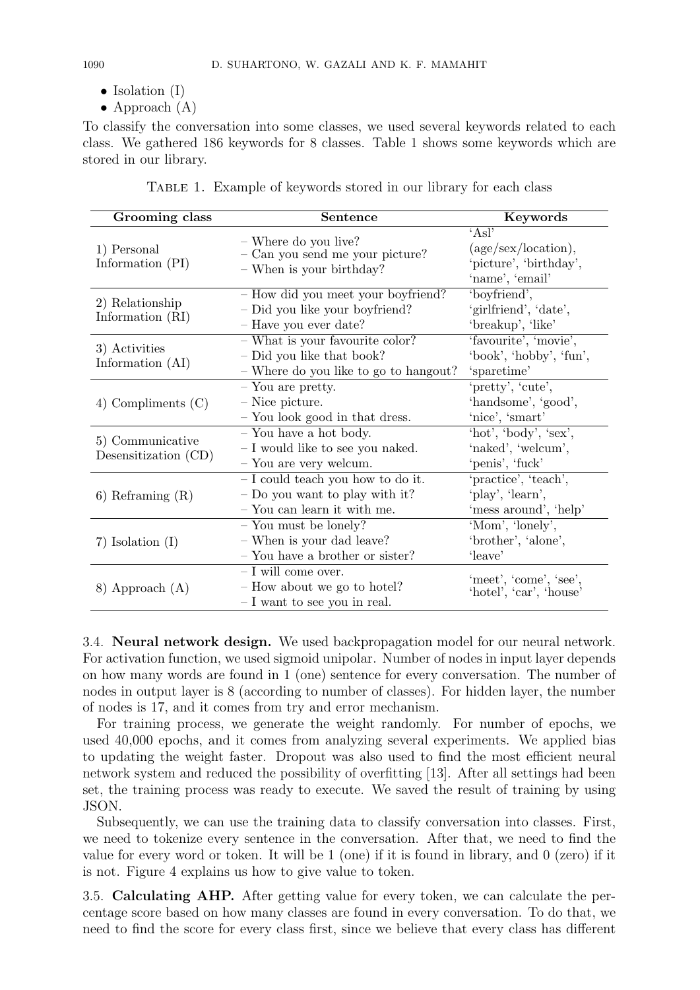- Isolation (I)
- *•* Approach (A)

To classify the conversation into some classes, we used several keywords related to each class. We gathered 186 keywords for 8 classes. Table 1 shows some keywords which are stored in our library.

| TABLE 1. Example of keywords stored in our library for each class |  |  |  |
|-------------------------------------------------------------------|--|--|--|
|                                                                   |  |  |  |

| Grooming class                           | Sentence                                                                                                | Keywords                                                                 |
|------------------------------------------|---------------------------------------------------------------------------------------------------------|--------------------------------------------------------------------------|
| 1) Personal<br>Information (PI)          | - Where do you live?<br>- Can you send me your picture?<br>- When is your birthday?                     | 'As'<br>(age/sec/location),<br>'picture', 'birthday',<br>'name', 'email' |
| 2) Relationship<br>Information (RI)      | - How did you meet your boyfriend?<br>- Did you like your boyfriend?<br>- Have you ever date?           | 'boyfriend',<br>'girlfriend', 'date',<br>'breakup', 'like'               |
| 3) Activities<br>Information (AI)        | $-$ What is your favourite color?<br>- Did you like that book?<br>- Where do you like to go to hangout? | 'favourite', 'movie',<br>'book', 'hobby', 'fun',<br>'sparetime'          |
| 4) Compliments $(C)$                     | - You are pretty.<br>$-$ Nice picture.<br>- You look good in that dress.                                | 'pretty', 'cute',<br>'handsome', 'good',<br>'nice', 'smart'              |
| 5) Communicative<br>Desensitization (CD) | $-$ You have a hot body.<br>$-$ I would like to see you naked.<br>- You are very welcum.                | 'hot', 'body', 'sex',<br>'naked', 'welcum',<br>'penis', 'fuck'           |
| $6)$ Reframing $(R)$                     | - I could teach you how to do it.<br>$-$ Do you want to play with it?<br>- You can learn it with me.    | 'practice', 'teach',<br>'play', 'learn',<br>'mess around', 'help'        |
| 7) Isolation $(I)$                       | $-$ You must be lonely?<br>- When is your dad leave?<br>- You have a brother or sister?                 | 'Mom', 'lonely',<br>'brother', 'alone',<br>'leave'                       |
| 8) Approach (A)                          | $- I$ will come over.<br>- How about we go to hotel?<br>$- I$ want to see you in real.                  | 'meet', 'come', 'see',<br>'hotel', 'car', 'house'                        |

3.4. **Neural network design.** We used backpropagation model for our neural network. For activation function, we used sigmoid unipolar. Number of nodes in input layer depends on how many words are found in 1 (one) sentence for every conversation. The number of nodes in output layer is 8 (according to number of classes). For hidden layer, the number of nodes is 17, and it comes from try and error mechanism.

For training process, we generate the weight randomly. For number of epochs, we used 40,000 epochs, and it comes from analyzing several experiments. We applied bias to updating the weight faster. Dropout was also used to find the most efficient neural network system and reduced the possibility of overfitting [13]. After all settings had been set, the training process was ready to execute. We saved the result of training by using JSON.

Subsequently, we can use the training data to classify conversation into classes. First, we need to tokenize every sentence in the conversation. After that, we need to find the value for every word or token. It will be 1 (one) if it is found in library, and 0 (zero) if it is not. Figure 4 explains us how to give value to token.

3.5. **Calculating AHP.** After getting value for every token, we can calculate the percentage score based on how many classes are found in every conversation. To do that, we need to find the score for every class first, since we believe that every class has different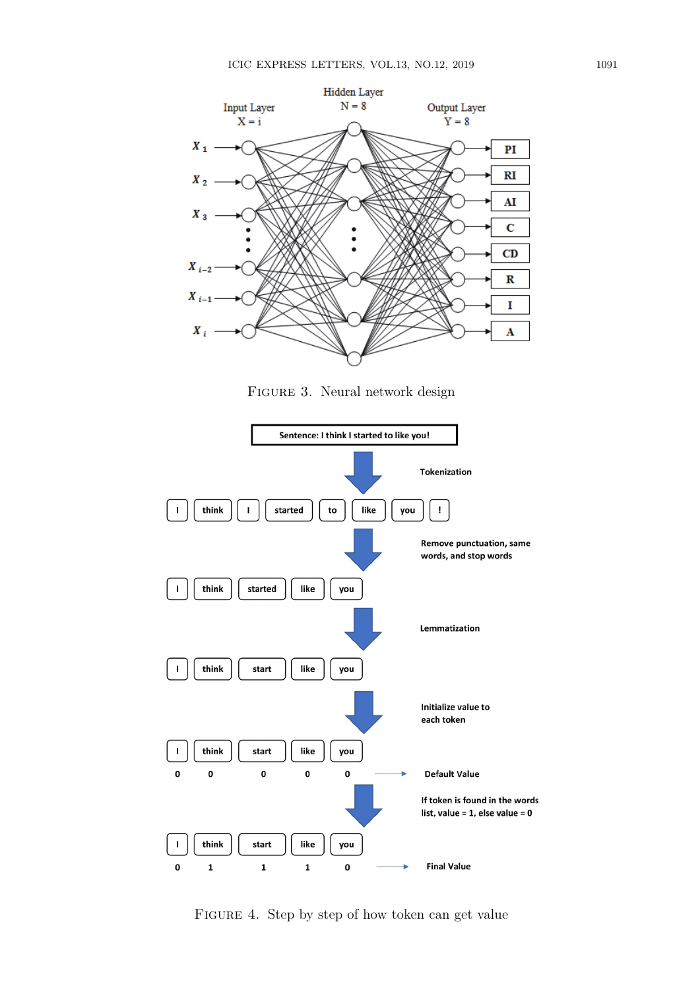

Figure 3. Neural network design



FIGURE 4. Step by step of how token can get value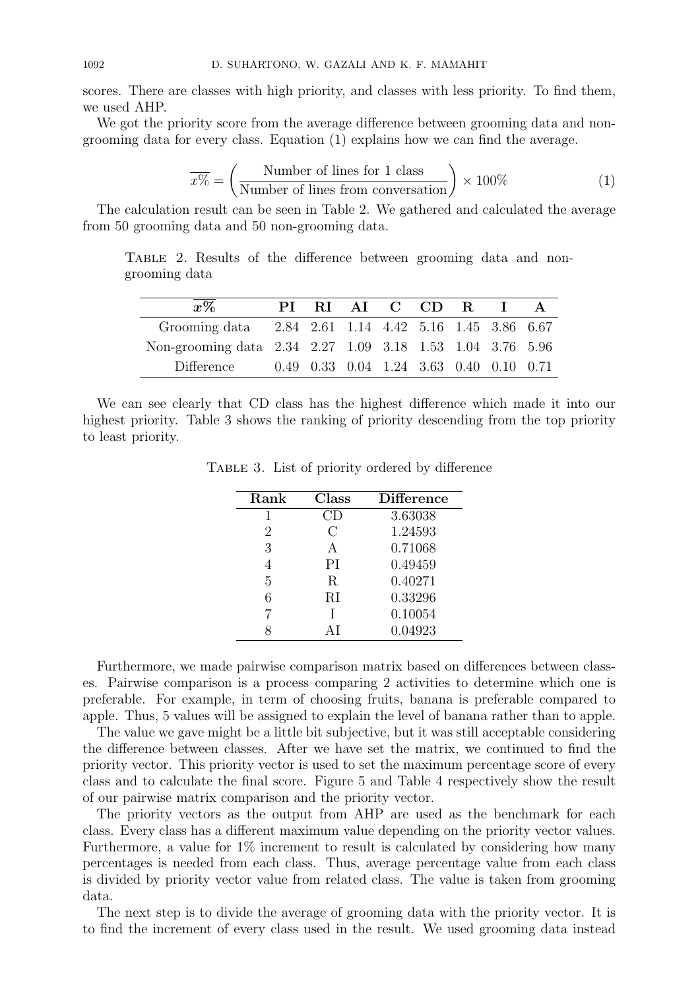scores. There are classes with high priority, and classes with less priority. To find them, we used AHP.

We got the priority score from the average difference between grooming data and nongrooming data for every class. Equation (1) explains how we can find the average.

$$
\overline{x\%} = \left(\frac{\text{Number of lines for 1 class}}{\text{Number of lines from conversation}}\right) \times 100\% \tag{1}
$$

The calculation result can be seen in Table 2. We gathered and calculated the average from 50 grooming data and 50 non-grooming data.

Table 2. Results of the difference between grooming data and nongrooming data

| $\overline{x\%}$                                          | PI – |                                         | RIAI C CD R I |  |  |
|-----------------------------------------------------------|------|-----------------------------------------|---------------|--|--|
| Grooming data 2.84 2.61 1.14 4.42 5.16 1.45 3.86 6.67     |      |                                         |               |  |  |
| Non-grooming data 2.34 2.27 1.09 3.18 1.53 1.04 3.76 5.96 |      |                                         |               |  |  |
| Difference                                                |      | 0.49 0.33 0.04 1.24 3.63 0.40 0.10 0.71 |               |  |  |

We can see clearly that CD class has the highest difference which made it into our highest priority. Table 3 shows the ranking of priority descending from the top priority to least priority.

| Rank | Class   | <b>Difference</b> |
|------|---------|-------------------|
| 1    |         | 3.63038           |
| 2    | $\rm C$ | 1.24593           |
| 3    | А       | 0.71068           |
| 4    | PI      | 0.49459           |
| 5    | R       | 0.40271           |
| 6    | RI      | 0.33296           |
|      |         | 0.10054           |
|      | AΙ      | 0.04923           |

Table 3. List of priority ordered by difference

Furthermore, we made pairwise comparison matrix based on differences between classes. Pairwise comparison is a process comparing 2 activities to determine which one is preferable. For example, in term of choosing fruits, banana is preferable compared to apple. Thus, 5 values will be assigned to explain the level of banana rather than to apple.

The value we gave might be a little bit subjective, but it was still acceptable considering the difference between classes. After we have set the matrix, we continued to find the priority vector. This priority vector is used to set the maximum percentage score of every class and to calculate the final score. Figure 5 and Table 4 respectively show the result of our pairwise matrix comparison and the priority vector.

The priority vectors as the output from AHP are used as the benchmark for each class. Every class has a different maximum value depending on the priority vector values. Furthermore, a value for 1% increment to result is calculated by considering how many percentages is needed from each class. Thus, average percentage value from each class is divided by priority vector value from related class. The value is taken from grooming data.

The next step is to divide the average of grooming data with the priority vector. It is to find the increment of every class used in the result. We used grooming data instead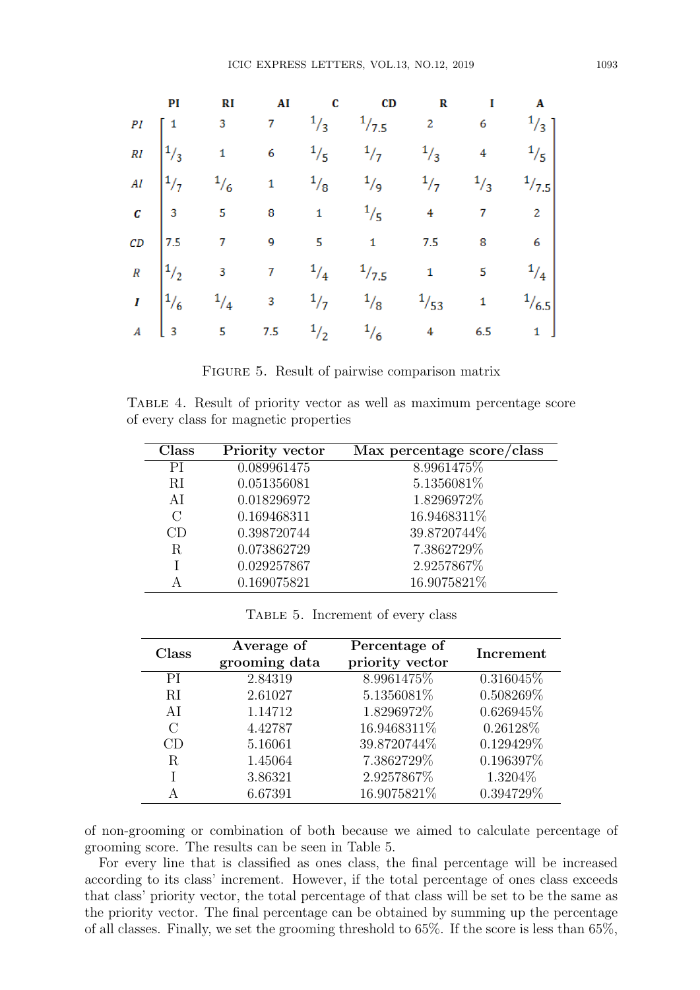| PI | <b>RI</b> |  | AI C CD                                                                                                                                                                                                                                                                                       | $R$ $I$ $A$ |  |
|----|-----------|--|-----------------------------------------------------------------------------------------------------------------------------------------------------------------------------------------------------------------------------------------------------------------------------------------------|-------------|--|
|    |           |  |                                                                                                                                                                                                                                                                                               |             |  |
|    |           |  |                                                                                                                                                                                                                                                                                               |             |  |
|    |           |  |                                                                                                                                                                                                                                                                                               |             |  |
|    |           |  |                                                                                                                                                                                                                                                                                               |             |  |
|    |           |  |                                                                                                                                                                                                                                                                                               |             |  |
|    |           |  | PI RI AI C CD R I A<br>PI $\begin{bmatrix} 1 & 3 & 7 & 1/3 & 1/7.5 & 2 & 6 & 1/3 \\ 1/3 & 1 & 6 & 1/5 & 1/7 & 1/3 & 4 & 1/5 \\ 1/7 & 1/6 & 1 & 1/8 & 1/9 & 1/7 & 1/3 & 1/7.5 \\ 2/7 & 3 & 5 & 8 & 1 & 1/5 & 4 & 7 & 2 \\ 3 & 5 & 8 & 1 & 1/5 & 4 & 7 & 2 \\ 1/2 & 3 & 7 & 1/4 & 1/7.5 & 1 & $ |             |  |
|    |           |  |                                                                                                                                                                                                                                                                                               |             |  |
|    |           |  |                                                                                                                                                                                                                                                                                               |             |  |

|  |  | FIGURE 5. Result of pairwise comparison matrix |  |
|--|--|------------------------------------------------|--|
|  |  |                                                |  |

Table 4. Result of priority vector as well as maximum percentage score of every class for magnetic properties

| Class   | Priority vector | Max percentage score/class |
|---------|-----------------|----------------------------|
| РI      | 0.089961475     | 8.9961475%                 |
| RI      | 0.051356081     | 5.1356081%                 |
| AI      | 0.018296972     | 1.8296972%                 |
| $\rm C$ | 0.169468311     | 16.9468311%                |
| CD      | 0.398720744     | 39.8720744%                |
| R       | 0.073862729     | 7.3862729%                 |
|         | 0.029257867     | 2.9257867%                 |
|         | 0.169075821     | 16.9075821%                |

TABLE 5. Increment of every class

| Class    | Average of<br>grooming data | Percentage of<br>priority vector | Increment    |
|----------|-----------------------------|----------------------------------|--------------|
| PI       | 2.84319                     | 8.9961475\%                      | $0.316045\%$ |
| RI       | 2.61027                     | 5.1356081%                       | 0.508269%    |
| AI       | 1.14712                     | 1.8296972%                       | 0.626945%    |
| $\Gamma$ | 4.42787                     | 16.9468311%                      | 0.26128\%    |
| CD       | 5.16061                     | 39.8720744%                      | 0.129429%    |
| R        | 1.45064                     | 7.3862729%                       | 0.196397%    |
|          | 3.86321                     | 2.9257867%                       | 1.3204\%     |
|          | 6.67391                     | 16.9075821%                      | 0.394729%    |

of non-grooming or combination of both because we aimed to calculate percentage of grooming score. The results can be seen in Table 5.

For every line that is classified as ones class, the final percentage will be increased according to its class' increment. However, if the total percentage of ones class exceeds that class' priority vector, the total percentage of that class will be set to be the same as the priority vector. The final percentage can be obtained by summing up the percentage of all classes. Finally, we set the grooming threshold to 65%. If the score is less than 65%,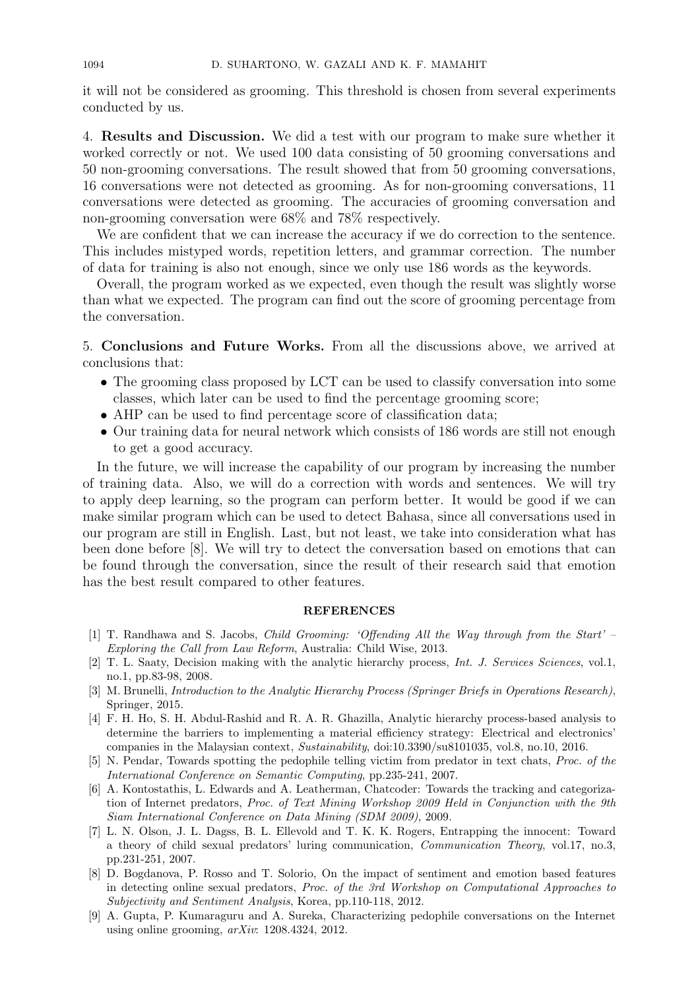it will not be considered as grooming. This threshold is chosen from several experiments conducted by us.

4. **Results and Discussion.** We did a test with our program to make sure whether it worked correctly or not. We used 100 data consisting of 50 grooming conversations and 50 non-grooming conversations. The result showed that from 50 grooming conversations, 16 conversations were not detected as grooming. As for non-grooming conversations, 11 conversations were detected as grooming. The accuracies of grooming conversation and non-grooming conversation were 68% and 78% respectively.

We are confident that we can increase the accuracy if we do correction to the sentence. This includes mistyped words, repetition letters, and grammar correction. The number of data for training is also not enough, since we only use 186 words as the keywords.

Overall, the program worked as we expected, even though the result was slightly worse than what we expected. The program can find out the score of grooming percentage from the conversation.

5. **Conclusions and Future Works.** From all the discussions above, we arrived at conclusions that:

- The grooming class proposed by LCT can be used to classify conversation into some classes, which later can be used to find the percentage grooming score;
- AHP can be used to find percentage score of classification data;
- Our training data for neural network which consists of 186 words are still not enough to get a good accuracy.

In the future, we will increase the capability of our program by increasing the number of training data. Also, we will do a correction with words and sentences. We will try to apply deep learning, so the program can perform better. It would be good if we can make similar program which can be used to detect Bahasa, since all conversations used in our program are still in English. Last, but not least, we take into consideration what has been done before [8]. We will try to detect the conversation based on emotions that can be found through the conversation, since the result of their research said that emotion has the best result compared to other features.

## **REFERENCES**

- [1] T. Randhawa and S. Jacobs, *Child Grooming: 'Offending All the Way through from the Start' – Exploring the Call from Law Reform*, Australia: Child Wise, 2013.
- [2] T. L. Saaty, Decision making with the analytic hierarchy process, *Int. J. Services Sciences*, vol.1, no.1, pp.83-98, 2008.
- [3] M. Brunelli, *Introduction to the Analytic Hierarchy Process (Springer Briefs in Operations Research)*, Springer, 2015.
- [4] F. H. Ho, S. H. Abdul-Rashid and R. A. R. Ghazilla, Analytic hierarchy process-based analysis to determine the barriers to implementing a material efficiency strategy: Electrical and electronics' companies in the Malaysian context, *Sustainability*, doi:10.3390/su8101035, vol.8, no.10, 2016.
- [5] N. Pendar, Towards spotting the pedophile telling victim from predator in text chats, *Proc. of the International Conference on Semantic Computing*, pp.235-241, 2007.
- [6] A. Kontostathis, L. Edwards and A. Leatherman, Chatcoder: Towards the tracking and categorization of Internet predators, *Proc. of Text Mining Workshop 2009 Held in Conjunction with the 9th Siam International Conference on Data Mining (SDM 2009)*, 2009.
- [7] L. N. Olson, J. L. Dagss, B. L. Ellevold and T. K. K. Rogers, Entrapping the innocent: Toward a theory of child sexual predators' luring communication, *Communication Theory*, vol.17, no.3, pp.231-251, 2007.
- [8] D. Bogdanova, P. Rosso and T. Solorio, On the impact of sentiment and emotion based features in detecting online sexual predators, *Proc. of the 3rd Workshop on Computational Approaches to Subjectivity and Sentiment Analysis*, Korea, pp.110-118, 2012.
- [9] A. Gupta, P. Kumaraguru and A. Sureka, Characterizing pedophile conversations on the Internet using online grooming, *arXiv*: 1208.4324, 2012.